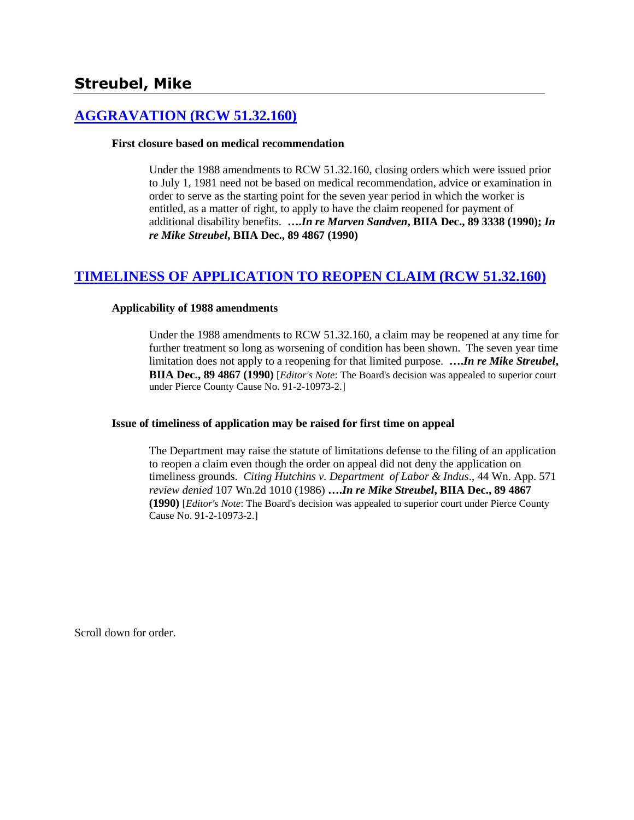# **Streubel, Mike**

# **[AGGRAVATION \(RCW 51.32.160\)](http://www.biia.wa.gov/SDSubjectIndex.html#AGGRAVATION)**

#### **First closure based on medical recommendation**

Under the 1988 amendments to RCW 51.32.160, closing orders which were issued prior to July 1, 1981 need not be based on medical recommendation, advice or examination in order to serve as the starting point for the seven year period in which the worker is entitled, as a matter of right, to apply to have the claim reopened for payment of additional disability benefits. **….***In re Marven Sandven***, BIIA Dec., 89 3338 (1990);** *In re Mike Streubel***, BIIA Dec., 89 4867 (1990)**

# **[TIMELINESS OF APPLICATION TO REOPEN CLAIM \(RCW 51.32.160\)](http://www.biia.wa.gov/SDSubjectIndex.html#TIMELINESS_OF_APPLICATION_TO_REOPEN_CLAIM)**

#### **Applicability of 1988 amendments**

Under the 1988 amendments to RCW 51.32.160, a claim may be reopened at any time for further treatment so long as worsening of condition has been shown. The seven year time limitation does not apply to a reopening for that limited purpose. **….***In re Mike Streubel***, BIIA Dec., 89 4867 (1990)** [*Editor's Note*: The Board's decision was appealed to superior court under Pierce County Cause No. 91-2-10973-2.]

#### **Issue of timeliness of application may be raised for first time on appeal**

The Department may raise the statute of limitations defense to the filing of an application to reopen a claim even though the order on appeal did not deny the application on timeliness grounds. *Citing Hutchins v. Department of Labor & Indus*., 44 Wn. App. 571 *review denied* 107 Wn.2d 1010 (1986) **….***In re Mike Streubel***, BIIA Dec., 89 4867 (1990)** [*Editor's Note*: The Board's decision was appealed to superior court under Pierce County Cause No. 91-2-10973-2.]

Scroll down for order.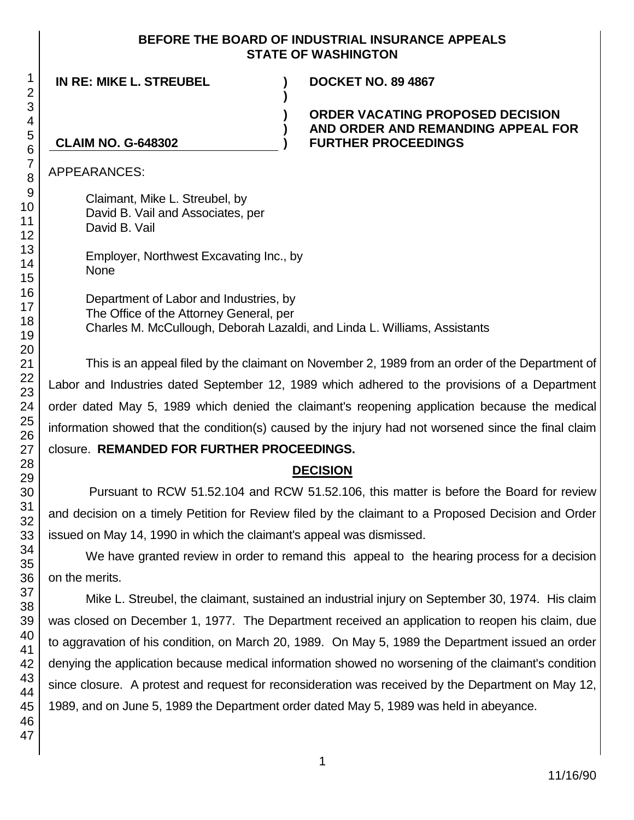#### **BEFORE THE BOARD OF INDUSTRIAL INSURANCE APPEALS STATE OF WASHINGTON**

**IN RE: MIKE L. STREUBEL ) DOCKET NO. 89 4867**

### **ORDER VACATING PROPOSED DECISION AND ORDER AND REMANDING APPEAL FOR FURTHER PROCEEDINGS**

## **CLAIM NO. G-648302**

APPEARANCES:

Claimant, Mike L. Streubel, by David B. Vail and Associates, per David B. Vail

Employer, Northwest Excavating Inc., by None

Department of Labor and Industries, by The Office of the Attorney General, per Charles M. McCullough, Deborah Lazaldi, and Linda L. Williams, Assistants

**)**

**) ) )**

This is an appeal filed by the claimant on November 2, 1989 from an order of the Department of Labor and Industries dated September 12, 1989 which adhered to the provisions of a Department order dated May 5, 1989 which denied the claimant's reopening application because the medical information showed that the condition(s) caused by the injury had not worsened since the final claim

#### closure. **REMANDED FOR FURTHER PROCEEDINGS.**

## **DECISION**

Pursuant to RCW 51.52.104 and RCW 51.52.106, this matter is before the Board for review and decision on a timely Petition for Review filed by the claimant to a Proposed Decision and Order issued on May 14, 1990 in which the claimant's appeal was dismissed.

We have granted review in order to remand this appeal to the hearing process for a decision on the merits.

Mike L. Streubel, the claimant, sustained an industrial injury on September 30, 1974. His claim was closed on December 1, 1977. The Department received an application to reopen his claim, due to aggravation of his condition, on March 20, 1989. On May 5, 1989 the Department issued an order denying the application because medical information showed no worsening of the claimant's condition since closure. A protest and request for reconsideration was received by the Department on May 12, 1989, and on June 5, 1989 the Department order dated May 5, 1989 was held in abeyance.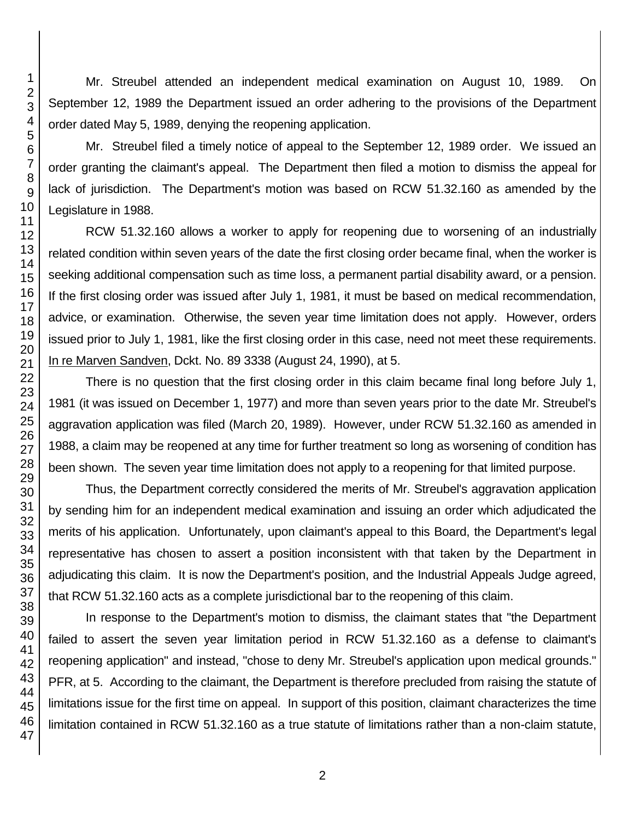Mr. Streubel attended an independent medical examination on August 10, 1989. On September 12, 1989 the Department issued an order adhering to the provisions of the Department order dated May 5, 1989, denying the reopening application.

Mr. Streubel filed a timely notice of appeal to the September 12, 1989 order. We issued an order granting the claimant's appeal. The Department then filed a motion to dismiss the appeal for lack of jurisdiction. The Department's motion was based on RCW 51.32.160 as amended by the Legislature in 1988.

RCW 51.32.160 allows a worker to apply for reopening due to worsening of an industrially related condition within seven years of the date the first closing order became final, when the worker is seeking additional compensation such as time loss, a permanent partial disability award, or a pension. If the first closing order was issued after July 1, 1981, it must be based on medical recommendation, advice, or examination. Otherwise, the seven year time limitation does not apply. However, orders issued prior to July 1, 1981, like the first closing order in this case, need not meet these requirements. In re Marven Sandven, Dckt. No. 89 3338 (August 24, 1990), at 5.

There is no question that the first closing order in this claim became final long before July 1, 1981 (it was issued on December 1, 1977) and more than seven years prior to the date Mr. Streubel's aggravation application was filed (March 20, 1989). However, under RCW 51.32.160 as amended in 1988, a claim may be reopened at any time for further treatment so long as worsening of condition has been shown. The seven year time limitation does not apply to a reopening for that limited purpose.

Thus, the Department correctly considered the merits of Mr. Streubel's aggravation application by sending him for an independent medical examination and issuing an order which adjudicated the merits of his application. Unfortunately, upon claimant's appeal to this Board, the Department's legal representative has chosen to assert a position inconsistent with that taken by the Department in adjudicating this claim. It is now the Department's position, and the Industrial Appeals Judge agreed, that RCW 51.32.160 acts as a complete jurisdictional bar to the reopening of this claim.

In response to the Department's motion to dismiss, the claimant states that "the Department failed to assert the seven year limitation period in RCW 51.32.160 as a defense to claimant's reopening application" and instead, "chose to deny Mr. Streubel's application upon medical grounds." PFR, at 5. According to the claimant, the Department is therefore precluded from raising the statute of limitations issue for the first time on appeal. In support of this position, claimant characterizes the time limitation contained in RCW 51.32.160 as a true statute of limitations rather than a non-claim statute,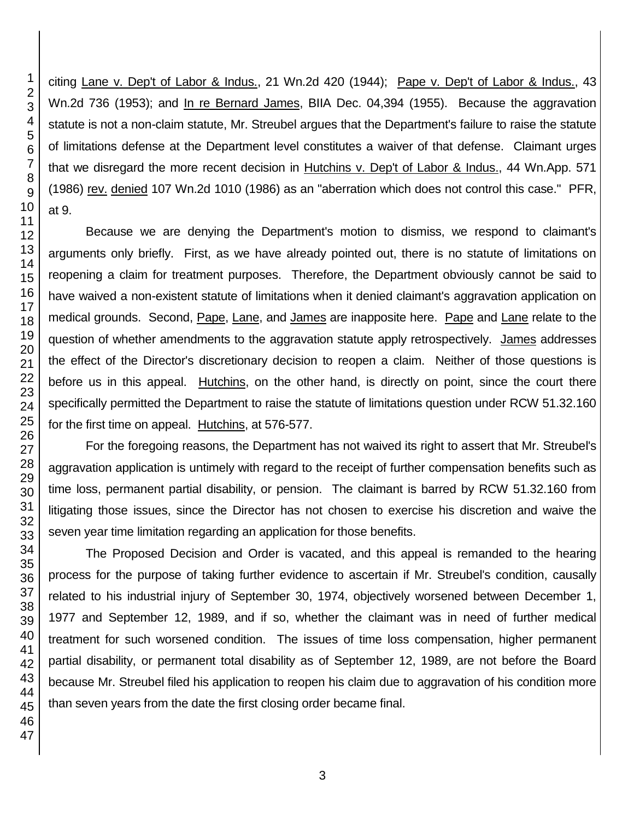citing Lane v. Dep't of Labor & Indus., 21 Wn.2d 420 (1944); Pape v. Dep't of Labor & Indus., 43 Wn.2d 736 (1953); and In re Bernard James, BIIA Dec. 04,394 (1955). Because the aggravation statute is not a non-claim statute, Mr. Streubel argues that the Department's failure to raise the statute of limitations defense at the Department level constitutes a waiver of that defense. Claimant urges that we disregard the more recent decision in Hutchins v. Dep't of Labor & Indus., 44 Wn.App. 571 (1986) rev. denied 107 Wn.2d 1010 (1986) as an "aberration which does not control this case." PFR, at 9.

Because we are denying the Department's motion to dismiss, we respond to claimant's arguments only briefly. First, as we have already pointed out, there is no statute of limitations on reopening a claim for treatment purposes. Therefore, the Department obviously cannot be said to have waived a non-existent statute of limitations when it denied claimant's aggravation application on medical grounds. Second, Pape, Lane, and James are inapposite here. Pape and Lane relate to the question of whether amendments to the aggravation statute apply retrospectively. James addresses the effect of the Director's discretionary decision to reopen a claim. Neither of those questions is before us in this appeal. Hutchins, on the other hand, is directly on point, since the court there specifically permitted the Department to raise the statute of limitations question under RCW 51.32.160 for the first time on appeal. Hutchins, at 576-577.

For the foregoing reasons, the Department has not waived its right to assert that Mr. Streubel's aggravation application is untimely with regard to the receipt of further compensation benefits such as time loss, permanent partial disability, or pension. The claimant is barred by RCW 51.32.160 from litigating those issues, since the Director has not chosen to exercise his discretion and waive the seven year time limitation regarding an application for those benefits.

The Proposed Decision and Order is vacated, and this appeal is remanded to the hearing process for the purpose of taking further evidence to ascertain if Mr. Streubel's condition, causally related to his industrial injury of September 30, 1974, objectively worsened between December 1, 1977 and September 12, 1989, and if so, whether the claimant was in need of further medical treatment for such worsened condition. The issues of time loss compensation, higher permanent partial disability, or permanent total disability as of September 12, 1989, are not before the Board because Mr. Streubel filed his application to reopen his claim due to aggravation of his condition more than seven years from the date the first closing order became final.